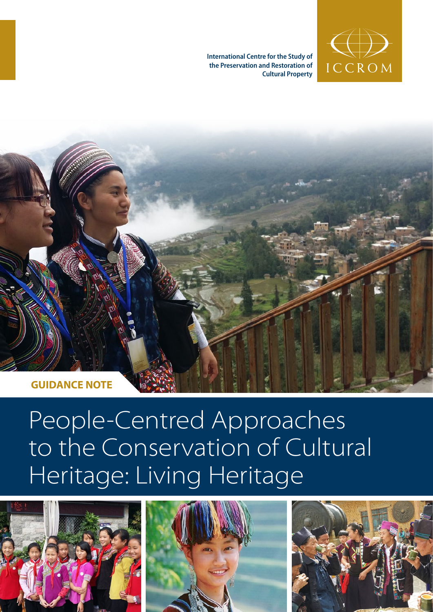**International Centre for the Study of the Preservation and Restoration of Cultural Property**





# People-Centred Approaches to the Conservation of Cultural Heritage: Living Heritage





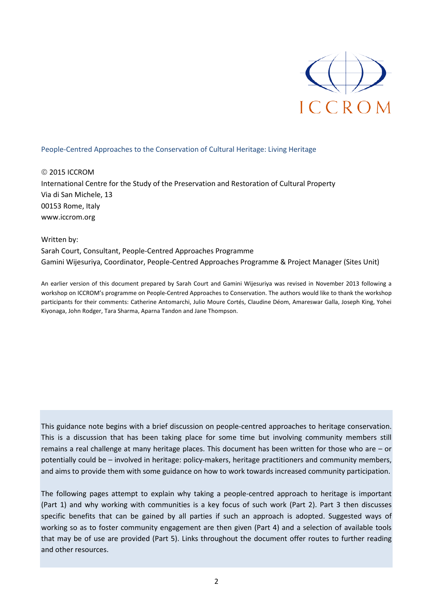

## People-Centred Approaches to the Conservation of Cultural Heritage: Living Heritage

 2015 ICCROM International Centre for the Study of the Preservation and Restoration of Cultural Property Via di San Michele, 13 00153 Rome, Italy www.iccrom.org

#### Written by:

Sarah Court, Consultant, People-Centred Approaches Programme Gamini Wijesuriya, Coordinator, People-Centred Approaches Programme & Project Manager (Sites Unit)

An earlier version of this document prepared by Sarah Court and Gamini Wijesuriya was revised in November 2013 following a workshop on ICCROM's programme on People-Centred Approaches to Conservation. The authors would like to thank the workshop participants for their comments: Catherine Antomarchi, Julio Moure Cortés, Claudine Déom, Amareswar Galla, Joseph King, Yohei Kiyonaga, John Rodger, Tara Sharma, Aparna Tandon and Jane Thompson.

This guidance note begins with a brief discussion on people-centred approaches to heritage conservation. This is a discussion that has been taking place for some time but involving community members still remains a real challenge at many heritage places. This document has been written for those who are – or potentially could be – involved in heritage: policy-makers, heritage practitioners and community members, and aims to provide them with some guidance on how to work towards increased community participation.

The following pages attempt to explain why taking a people-centred approach to heritage is important (Part 1) and why working with communities is a key focus of such work (Part 2). Part 3 then discusses specific benefits that can be gained by all parties if such an approach is adopted. Suggested ways of working so as to foster community engagement are then given (Part 4) and a selection of available tools that may be of use are provided (Part 5). Links throughout the document offer routes to further reading and other resources.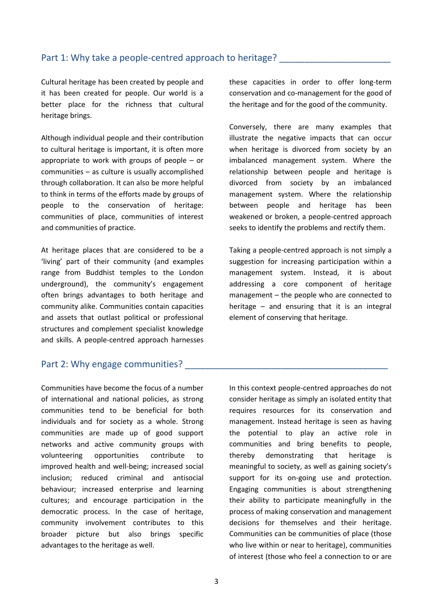# Part 1: Why take a people-centred approach to heritage?

Cultural heritage has been created by people and it has been created for people. Our world is a better place for the richness that cultural heritage brings.

Although individual people and their contribution to cultural heritage is important, it is often more appropriate to work with groups of people – or communities – as culture is usually accomplished through collaboration. It can also be more helpful to think in terms of the efforts made by groups of people to the conservation of heritage: communities of place, communities of interest and communities of practice.

At heritage places that are considered to be a 'living' part of their community (and examples range from Buddhist temples to the London underground), the community's engagement often brings advantages to both heritage and community alike. Communities contain capacities and assets that outlast political or professional structures and complement specialist knowledge and skills. A people-centred approach harnesses

these capacities in order to offer long-term conservation and co-management for the good of the heritage and for the good of the community.

Conversely, there are many examples that illustrate the negative impacts that can occur when heritage is divorced from society by an imbalanced management system. Where the relationship between people and heritage is divorced from society by an imbalanced management system. Where the relationship between people and heritage has been weakened or broken, a people-centred approach seeks to identify the problems and rectify them.

Taking a people-centred approach is not simply a suggestion for increasing participation within a management system. Instead, it is about addressing a core component of heritage management – the people who are connected to heritage – and ensuring that it is an integral element of conserving that heritage.

# Part 2: Why engage communities?

Communities have become the focus of a number of international and national policies, as strong communities tend to be beneficial for both individuals and for society as a whole. Strong communities are made up of good support networks and active community groups with volunteering opportunities contribute to improved health and well-being; increased social inclusion; reduced criminal and antisocial behaviour; increased enterprise and learning cultures; and encourage participation in the democratic process. In the case of heritage, community involvement contributes to this broader picture but also brings specific advantages to the heritage as well.

In this context people-centred approaches do not consider heritage as simply an isolated entity that requires resources for its conservation and management. Instead heritage is seen as having the potential to play an active role in communities and bring benefits to people, thereby demonstrating that heritage is meaningful to society, as well as gaining society's support for its on-going use and protection. Engaging communities is about strengthening their ability to participate meaningfully in the process of making conservation and management decisions for themselves and their heritage. Communities can be communities of place (those who live within or near to heritage), communities of interest (those who feel a connection to or are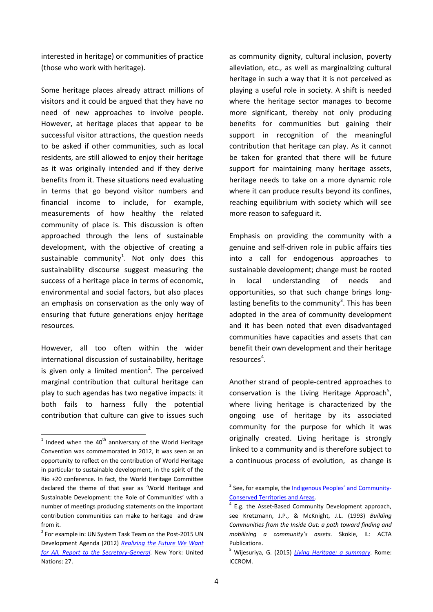interested in heritage) or communities of practice (those who work with heritage).

Some heritage places already attract millions of visitors and it could be argued that they have no need of new approaches to involve people. However, at heritage places that appear to be successful visitor attractions, the question needs to be asked if other communities, such as local residents, are still allowed to enjoy their heritage as it was originally intended and if they derive benefits from it. These situations need evaluating in terms that go beyond visitor numbers and financial income to include, for example, measurements of how healthy the related community of place is. This discussion is often approached through the lens of sustainable development, with the objective of creating a sustainable community<sup>[1](#page-3-0)</sup>. Not only does this sustainability discourse suggest measuring the success of a heritage place in terms of economic, environmental and social factors, but also places an emphasis on conservation as the only way of ensuring that future generations enjoy heritage resources.

However, all too often within the wider international discussion of sustainability, heritage is given only a limited mention<sup>[2](#page-3-1)</sup>. The perceived marginal contribution that cultural heritage can play to such agendas has two negative impacts: it both fails to harness fully the potential contribution that culture can give to issues such

as community dignity, cultural inclusion, poverty alleviation, etc., as well as marginalizing cultural heritage in such a way that it is not perceived as playing a useful role in society. A shift is needed where the heritage sector manages to become more significant, thereby not only producing benefits for communities but gaining their support in recognition of the meaningful contribution that heritage can play. As it cannot be taken for granted that there will be future support for maintaining many heritage assets, heritage needs to take on a more dynamic role where it can produce results beyond its confines, reaching equilibrium with society which will see more reason to safeguard it.

Emphasis on providing the community with a genuine and self-driven role in public affairs ties into a call for endogenous approaches to sustainable development; change must be rooted in local understanding of needs and opportunities, so that such change brings long-lasting benefits to the community<sup>[3](#page-3-2)</sup>. This has been adopted in the area of community development and it has been noted that even disadvantaged communities have capacities and assets that can benefit their own development and their heritage resources<sup>[4](#page-3-3)</sup>.

Another strand of people-centred approaches to conservation is the Living Heritage Approach<sup>[5](#page-3-4)</sup>, where living heritage is characterized by the ongoing use of heritage by its associated community for the purpose for which it was originally created. Living heritage is strongly linked to a community and is therefore subject to a continuous process of evolution, as change is

<span id="page-3-0"></span> $1$  Indeed when the 40<sup>th</sup> anniversary of the World Heritage Convention was commemorated in 2012, it was seen as an opportunity to reflect on the contribution of World Heritage in particular to sustainable development, in the spirit of the Rio +20 conference. In fact, the World Heritage Committee declared the theme of that year as 'World Heritage and Sustainable Development: the Role of Communities' with a number of meetings producing statements on the important contribution communities can make to heritage and draw from it.

<span id="page-3-4"></span><span id="page-3-3"></span><span id="page-3-2"></span><span id="page-3-1"></span><sup>&</sup>lt;sup>2</sup> For example in: UN System Task Team on the Post-2015 UN Development Agenda (2012) *[Realizing the Future We Want](http://www.un.org/millenniumgoals/pdf/Post_2015_UNTTreport.pdf)  [for All. Report to the Secretary-General](http://www.un.org/millenniumgoals/pdf/Post_2015_UNTTreport.pdf)*. New York: United Nations: 27.

<sup>&</sup>lt;sup>3</sup> See, for example, the **Indigenous Peoples' and Community-**Conserved [Territories and Areas.](http://www.iccaconsortium.org/)

 $4$  E.g. the Asset-Based Community Development approach, see Kretzmann, J.P., & McKnight, J.L. (1993) *Building Communities from the Inside Out: a path toward finding and mobilizing a community's assets*. Skokie, IL: ACTA Publications.

<sup>5</sup> Wijesuriya, G. (2015) *[Living Heritage: a summary](http://www.iccrom.org/wp-content/uploads/PCA_Annexe-1.pdf)*. Rome: ICCROM.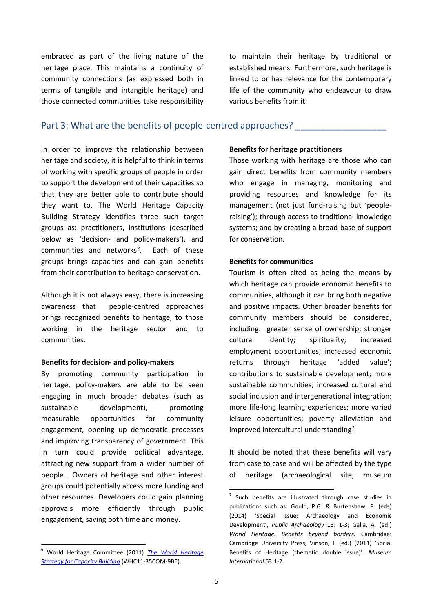embraced as part of the living nature of the heritage place. This maintains a continuity of community connections (as expressed both in terms of tangible and intangible heritage) and those connected communities take responsibility

to maintain their heritage by traditional or established means. Furthermore, such heritage is linked to or has relevance for the contemporary life of the community who endeavour to draw various benefits from it.

# Part 3: What are the benefits of people-centred approaches?

In order to improve the relationship between heritage and society, it is helpful to think in terms of working with specific groups of people in order to support the development of their capacities so that they are better able to contribute should they want to. The World Heritage Capacity Building Strategy identifies three such target groups as: practitioners, institutions (described below as 'decision- and policy-makers*'*), and communities and networks<sup>[6](#page-4-0)</sup>. Each of these groups brings capacities and can gain benefits from their contribution to heritage conservation.

Although it is not always easy, there is increasing awareness that people-centred approaches brings recognized benefits to heritage, to those working in the heritage sector and to communities.

#### **Benefits for decision- and policy-makers**

By promoting community participation in heritage, policy-makers are able to be seen engaging in much broader debates (such as sustainable development), promoting measurable opportunities for community engagement, opening up democratic processes and improving transparency of government. This in turn could provide political advantage, attracting new support from a wider number of people . Owners of heritage and other interest groups could potentially access more funding and other resources. Developers could gain planning approvals more efficiently through public engagement, saving both time and money.

#### **Benefits for heritage practitioners**

Those working with heritage are those who can gain direct benefits from community members who engage in managing, monitoring and providing resources and knowledge for its management (not just fund-raising but 'peopleraising'); through access to traditional knowledge systems; and by creating a broad-base of support for conservation.

## **Benefits for communities**

Tourism is often cited as being the means by which heritage can provide economic benefits to communities, although it can bring both negative and positive impacts. Other broader benefits for community members should be considered, including: greater sense of ownership; stronger cultural identity; spirituality; increased employment opportunities; increased economic returns through heritage 'added value'; contributions to sustainable development; more sustainable communities; increased cultural and social inclusion and intergenerational integration; more life-long learning experiences; more varied leisure opportunities; poverty alleviation and improved intercultural understanding<sup>[7](#page-4-1)</sup>.

It should be noted that these benefits will vary from case to case and will be affected by the type of heritage (archaeological site, museum

<span id="page-4-1"></span><span id="page-4-0"></span> <sup>6</sup> World Heritage Committee (2011) *[The World Heritage](http://whc.unesco.org/archive/2011/whc11-35com-9Be.pdf)  [Strategy for Capacity Building](http://whc.unesco.org/archive/2011/whc11-35com-9Be.pdf)* (WHC11-35COM-9BE).

 $7$  Such benefits are illustrated through case studies in publications such as: Gould, P.G. & Burtenshaw, P. (eds) (2014) 'Special issue: Archaeology and Economic Development', *Public Archaeology* 13: 1-3; Galla, A. (ed.) *World Heritage. Benefits beyond borders.* Cambridge: Cambridge University Press; Vinson, I. (ed.) (2011) 'Social Benefits of Heritage (thematic double issue)'. *Museum International* 63:1-2.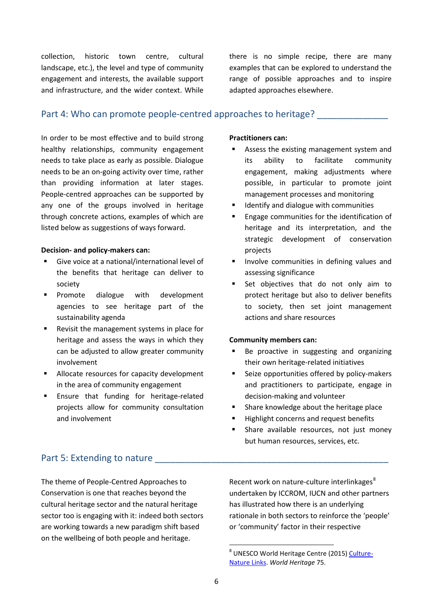collection, historic town centre, cultural landscape, etc.), the level and type of community engagement and interests, the available support and infrastructure, and the wider context. While there is no simple recipe, there are many examples that can be explored to understand the range of possible approaches and to inspire adapted approaches elsewhere.

# Part 4: Who can promote people-centred approaches to heritage?

In order to be most effective and to build strong healthy relationships, community engagement needs to take place as early as possible. Dialogue needs to be an on-going activity over time, rather than providing information at later stages. People-centred approaches can be supported by any one of the groups involved in heritage through concrete actions, examples of which are listed below as suggestions of ways forward.

#### **Decision- and policy-makers can:**

- Give voice at a national/international level of the benefits that heritage can deliver to society
- Promote dialogue with development agencies to see heritage part of the sustainability agenda
- Revisit the management systems in place for heritage and assess the ways in which they can be adjusted to allow greater community involvement
- Allocate resources for capacity development in the area of community engagement
- Ensure that funding for heritage-related projects allow for community consultation and involvement

## **Practitioners can:**

- Assess the existing management system and its ability to facilitate community engagement, making adjustments where possible, in particular to promote joint management processes and monitoring
- Identify and dialogue with communities
- Engage communities for the identification of heritage and its interpretation, and the strategic development of conservation projects
- **Involve communities in defining values and** assessing significance
- Set objectives that do not only aim to protect heritage but also to deliver benefits to society, then set joint management actions and share resources

#### **Community members can:**

- Be proactive in suggesting and organizing their own heritage-related initiatives
- **EXEC** Seize opportunities offered by policy-makers and practitioners to participate, engage in decision-making and volunteer
- Share knowledge about the heritage place
- Highlight concerns and request benefits
- Share available resources, not just money but human resources, services, etc.

# Part 5: Extending to nature

<span id="page-5-0"></span>The theme of People-Centred Approaches to Conservation is one that reaches beyond the cultural heritage sector and the natural heritage sector too is engaging with it: indeed both sectors are working towards a new paradigm shift based on the wellbeing of both people and heritage.

Recent work on nature-culture interlinkages<sup>[8](#page-5-0)</sup> undertaken by ICCROM, IUCN and other partners has illustrated how there is an underlying rationale in both sectors to reinforce the 'people' or 'community' factor in their respective

<sup>&</sup>lt;sup>8</sup> UNESCO World Heritage Centre (2015) [Culture-](http://whc.unesco.org/en/review/75/)[Nature Links.](http://whc.unesco.org/en/review/75/) *World Heritage* 75.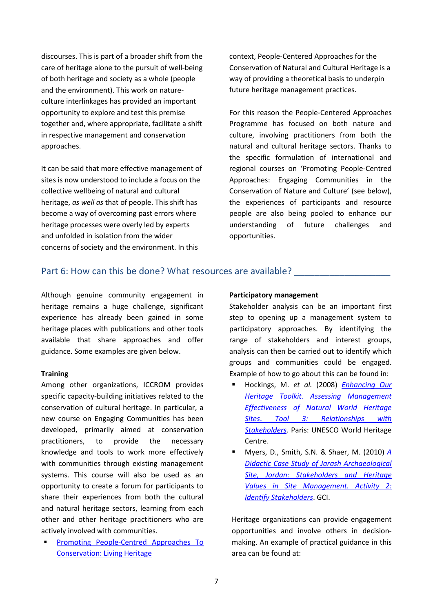discourses. This is part of a broader shift from the care of heritage alone to the pursuit of well-being of both heritage and society as a whole (people and the environment). This work on natureculture interlinkages has provided an important opportunity to explore and test this premise together and, where appropriate, facilitate a shift in respective management and conservation approaches.

It can be said that more effective management of sites is now understood to include a focus on the collective wellbeing of natural and cultural heritage, *as well as* that of people. This shift has become a way of overcoming past errors where heritage processes were overly led by experts and unfolded in isolation from the wider concerns of society and the environment. In this

context, People-Centered Approaches for the Conservation of Natural and Cultural Heritage is a way of providing a theoretical basis to underpin future heritage management practices.

For this reason the People-Centered Approaches Programme has focused on both nature and culture, involving practitioners from both the natural and cultural heritage sectors. Thanks to the specific formulation of international and regional courses on 'Promoting People-Centred Approaches: Engaging Communities in the Conservation of Nature and Culture' (see below), the experiences of participants and resource people are also being pooled to enhance our understanding of future challenges and opportunities.

# Part 6: How can this be done? What resources are available? \_\_\_\_\_\_\_\_\_\_\_\_\_\_\_\_\_\_\_\_

Although genuine community engagement in heritage remains a huge challenge, significant experience has already been gained in some heritage places with publications and other tools available that share approaches and offer guidance. Some examples are given below.

## **Training**

Among other organizations, ICCROM provides specific capacity-building initiatives related to the conservation of cultural heritage. In particular, a new course on Engaging Communities has been developed, primarily aimed at conservation practitioners, to provide the necessary knowledge and tools to work more effectively with communities through existing management systems. This course will also be used as an opportunity to create a forum for participants to share their experiences from both the cultural and natural heritage sectors, learning from each other and other heritage practitioners who are actively involved with communities.

 [Promoting People-Centred Approaches To](http://www.iccrom.org/priority-areas/living-heritage/)  [Conservation: Living Heritage](http://www.iccrom.org/priority-areas/living-heritage/)

## **Participatory management**

Stakeholder analysis can be an important first step to opening up a management system to participatory approaches. By identifying the range of stakeholders and interest groups, analysis can then be carried out to identify which groups and communities could be engaged. Example of how to go about this can be found in:

- Hockings, M. *et al.* (2008) *[Enhancing Our](http://whc.unesco.org/document/100750)  [Heritage Toolkit. Assessing Management](http://whc.unesco.org/document/100750)  [Effectiveness of Natural World Heritage](http://whc.unesco.org/document/100750)  Sites*. *[Tool 3: Relationships with](http://whc.unesco.org/document/100750)  [Stakeholders.](http://whc.unesco.org/document/100750)* Paris: UNESCO World Heritage Centre.
- Myers, D., Smith, S.N. & Shaer, M. (2010) *[A](http://www.getty.edu/conservation/publications_resources/pdf_publications/pdf/jarash_case_study.pdf)  [Didactic Case Study of Jarash Archaeological](http://www.getty.edu/conservation/publications_resources/pdf_publications/pdf/jarash_case_study.pdf)  [Site, Jordan: Stakeholders and Heritage](http://www.getty.edu/conservation/publications_resources/pdf_publications/pdf/jarash_case_study.pdf)  [Values in Site Management. Activity 2:](http://www.getty.edu/conservation/publications_resources/pdf_publications/pdf/jarash_case_study.pdf)  [Identify Stakeholders](http://www.getty.edu/conservation/publications_resources/pdf_publications/pdf/jarash_case_study.pdf)*. GCI.

Heritage organizations can provide engagement opportunities and involve others in decisionmaking. An example of practical guidance in this area can be found at: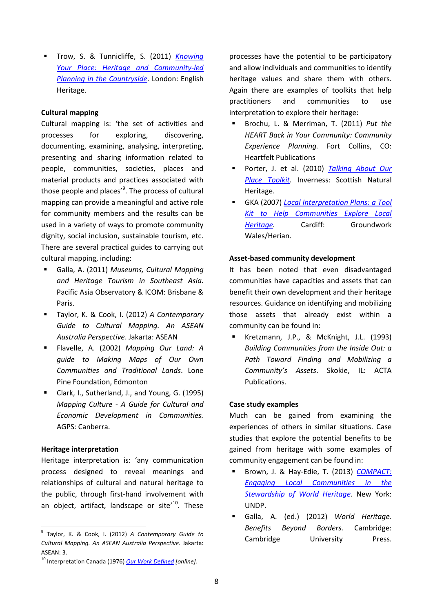Trow, S. & Tunnicliffe, S. (2011) *[Knowing](https://content.historicengland.org.uk/images-books/publications/knowing-your-place/knowing-your-place12.pdf/)  [Your Place: Heritage and Community-led](https://content.historicengland.org.uk/images-books/publications/knowing-your-place/knowing-your-place12.pdf/)  [Planning in the Countryside](https://content.historicengland.org.uk/images-books/publications/knowing-your-place/knowing-your-place12.pdf/)*. London: English Heritage.

## **Cultural mapping**

Cultural mapping is: 'the set of activities and processes for exploring, discovering, documenting, examining, analysing, interpreting, presenting and sharing information related to people, communities, societies, places and material products and practices associated with those people and places'<sup>[9](#page-7-0)</sup>. The process of cultural mapping can provide a meaningful and active role for community members and the results can be used in a variety of ways to promote community dignity, social inclusion, sustainable tourism, etc. There are several practical guides to carrying out cultural mapping, including:

- Galla, A. (2011) *Museums, Cultural Mapping and Heritage Tourism in Southeast Asia*. Pacific Asia Observatory & ICOM: Brisbane & Paris.
- Taylor, K. & Cook, I. (2012) *A Contemporary Guide to Cultural Mapping. An ASEAN Australia Perspective*. Jakarta: ASEAN
- Flavelle, A. (2002) *Mapping Our Land: A guide to Making Maps of Our Own Communities and Traditional Lands*. Lone Pine Foundation, Edmonton
- Clark, I., Sutherland, J., and Young, G. (1995) *Mapping Culture - A Guide for Cultural and Economic Development in Communities.*  AGPS: Canberra.

# **Heritage interpretation**

Heritage interpretation is: 'any communication process designed to reveal meanings and relationships of cultural and natural heritage to the public, through first-hand involvement with an object, artifact, landscape or site<sup>'[10](#page-7-1)</sup>. These

processes have the potential to be participatory and allow individuals and communities to identify heritage values and share them with others. Again there are examples of toolkits that help practitioners and communities to use interpretation to explore their heritage:

- Brochu, L. & Merriman, T. (2011) *Put the HEART Back in Your Community: Community Experience Planning.* Fort Collins, CO: Heartfelt Publications
- Porter, J. et al. (2010) *[Talking About Our](http://www.snh.gov.uk/docs/B1117673.pdf)  [Place Toolkit.](http://www.snh.gov.uk/docs/B1117673.pdf)* Inverness: Scottish Natural Heritage.
- GKA (2007) *[Local Interpretation Plans: a](http://see-tcp-project-sagittarius.eu/index.php/el/downloads/category/26-communitytoolbox?download=54:herianlocal-interpretation-plans-toolkit2005pdf) Tool [Kit to Help Communities Explore Local](http://see-tcp-project-sagittarius.eu/index.php/el/downloads/category/26-communitytoolbox?download=54:herianlocal-interpretation-plans-toolkit2005pdf)  [Heritage.](http://see-tcp-project-sagittarius.eu/index.php/el/downloads/category/26-communitytoolbox?download=54:herianlocal-interpretation-plans-toolkit2005pdf)* Cardiff: Groundwork Wales/Herian.

#### **Asset-based community development**

It has been noted that even disadvantaged communities have capacities and assets that can benefit their own development and their heritage resources. Guidance on identifying and mobilizing those assets that already exist within a community can be found in:

 Kretzmann, J.P., & McKnight, J.L. (1993) *Building Communities from the Inside Out: a Path Toward Finding and Mobilizing a Community's Assets*. Skokie, IL: ACTA Publications.

## **Case study examples**

Much can be gained from examining the experiences of others in similar situations. Case studies that explore the potential benefits to be gained from heritage with some examples of community engagement can be found in:

- Brown, J. & Hay-Edie, T. (2013) *[COMPACT:](https://sgp.undp.org/images/Compact_Report_WEB_flat.pdf)  [Engaging Local Communities in the](https://sgp.undp.org/images/Compact_Report_WEB_flat.pdf)  [Stewardship of World Heritage](https://sgp.undp.org/images/Compact_Report_WEB_flat.pdf)*. New York: UNDP.
- Galla, A. (ed.) (2012) *World Heritage. Benefits Beyond Borders.* Cambridge: Cambridge University Press.

<span id="page-7-0"></span> <sup>9</sup> Taylor, K. & Cook, I. (2012) *A Contemporary Guide to Cultural Mapping. An ASEAN Australia Perspective*. Jakarta: ASEAN: 3.

<span id="page-7-1"></span><sup>10</sup> Interpretation Canada (1976) *[Our Work Defined](http://www.interpscan.ca/our-work-defined) [online].*